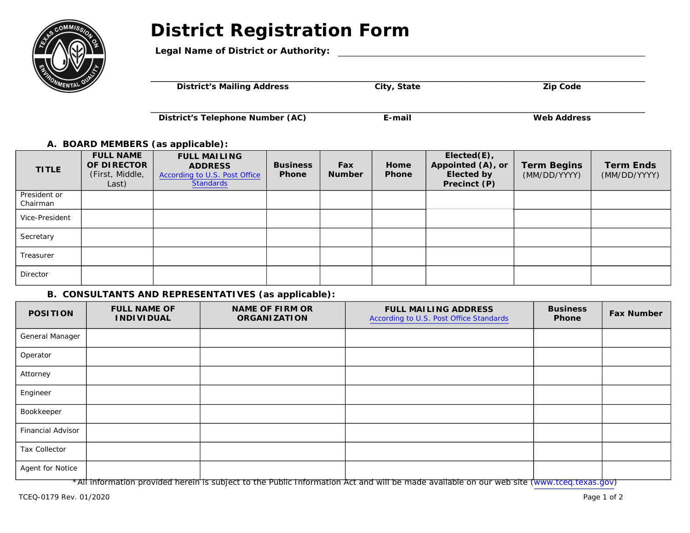# **District Registration Form**



### **Legal Name of District or Authority:**

|  | <b>District's Mailing Address</b><br>City, State | <b>Zip Code</b> |  |
|--|--------------------------------------------------|-----------------|--|
|--|--------------------------------------------------|-----------------|--|

**District's Telephone Number (AC) E-mail E-mail** Web Address

#### **A. BOARD MEMBERS (as applicable):**

| <b>TITLE</b>             | <b>FULL NAME</b><br>OF DIRECTOR<br>(First, Middle,<br>Last) | <b>FULL MAILING</b><br><b>ADDRESS</b><br>According to U.S. Post Office<br>Standards | <b>Business</b><br><b>Phone</b> | Fax<br><b>Number</b> | Home<br><b>Phone</b> | $Elected(E)$ ,<br>Appointed (A), or<br><b>Elected by</b><br>Precinct (P) | <b>Term Begins</b><br>(MM/DD/YYYY) | <b>Term Ends</b><br>(MM/DD/YYYY) |
|--------------------------|-------------------------------------------------------------|-------------------------------------------------------------------------------------|---------------------------------|----------------------|----------------------|--------------------------------------------------------------------------|------------------------------------|----------------------------------|
| President or<br>Chairman |                                                             |                                                                                     |                                 |                      |                      |                                                                          |                                    |                                  |
| Vice-President           |                                                             |                                                                                     |                                 |                      |                      |                                                                          |                                    |                                  |
| Secretary                |                                                             |                                                                                     |                                 |                      |                      |                                                                          |                                    |                                  |
| Treasurer                |                                                             |                                                                                     |                                 |                      |                      |                                                                          |                                    |                                  |
| Director                 |                                                             |                                                                                     |                                 |                      |                      |                                                                          |                                    |                                  |

### **B. CONSULTANTS AND REPRESENTATIVES (as applicable):**

| <b>POSITION</b>   | <b>FULL NAME OF</b><br><b>INDIVIDUAL</b> | <b>NAME OF FIRM OR</b><br><b>ORGANIZATION</b> | <b>FULL MAILING ADDRESS</b><br>According to U.S. Post Office Standards | <b>Business</b><br><b>Phone</b> | <b>Fax Number</b> |
|-------------------|------------------------------------------|-----------------------------------------------|------------------------------------------------------------------------|---------------------------------|-------------------|
| General Manager   |                                          |                                               |                                                                        |                                 |                   |
| Operator          |                                          |                                               |                                                                        |                                 |                   |
| Attorney          |                                          |                                               |                                                                        |                                 |                   |
| Engineer          |                                          |                                               |                                                                        |                                 |                   |
| Bookkeeper        |                                          |                                               |                                                                        |                                 |                   |
| Financial Advisor |                                          |                                               |                                                                        |                                 |                   |
| Tax Collector     |                                          |                                               |                                                                        |                                 |                   |
| Agent for Notice  |                                          |                                               |                                                                        |                                 |                   |

\*All information provided herein is subject to the Public Information Act and will be made available on our web site [\(www.tceq.texas.gov\)](http://www.tceq.texas.gov/)